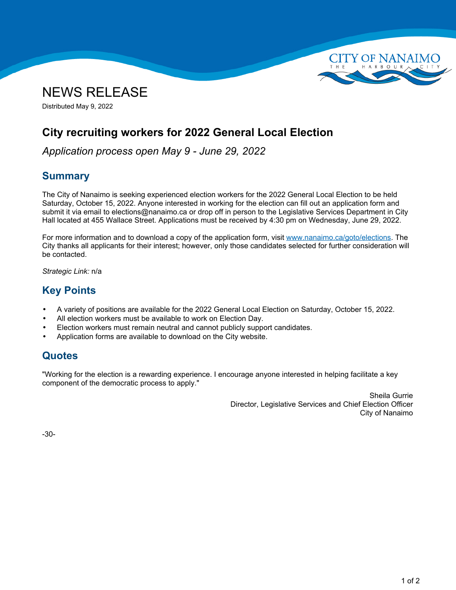



Distributed May 9, 2022

# **City recruiting workers for 2022 General Local Election**

*Application process open May 9 - June 29, 2022*

### **Summary**

The City of Nanaimo is seeking experienced election workers for the 2022 General Local Election to be held Saturday, October 15, 2022. Anyone interested in working for the election can fill out an application form and submit it via email to elections@nanaimo.ca or drop off in person to the Legislative Services Department in City Hall located at 455 Wallace Street. Applications must be received by 4:30 pm on Wednesday, June 29, 2022.

For more information and to download a copy of the application form, visit [www.nanaimo.ca/goto/elections](https://www.nanaimo.ca/goto/elections). The City thanks all applicants for their interest; however, only those candidates selected for further consideration will be contacted.

*Strategic Link:* n/a

## **Key Points**

- •A variety of positions are available for the 2022 General Local Election on Saturday, October 15, 2022.
- •All election workers must be available to work on Election Day.
- •Election workers must remain neutral and cannot publicly support candidates.
- •Application forms are available to download on the City website.

#### **Quotes**

"Working for the election is <sup>a</sup> rewarding experience. I encourage anyone interested in helping facilitate <sup>a</sup> key component of the democratic process to apply."

> Sheila Gurrie Director, Legislative Services and Chief Election Officer City of Nanaimo

-30-